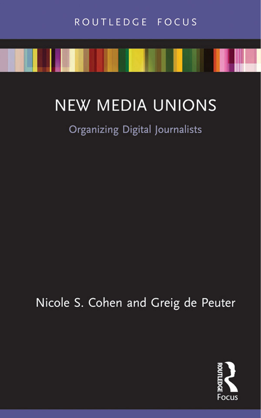# **NEW MEDIA UNIONS**

## Organizing Digital Journalists

Nicole S. Cohen and Greig de Peuter

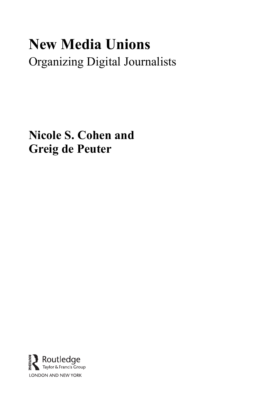# **New Media Unions**  Organizing Digital Journalists

**Nicole S. Cohen and Greig de Peuter** 

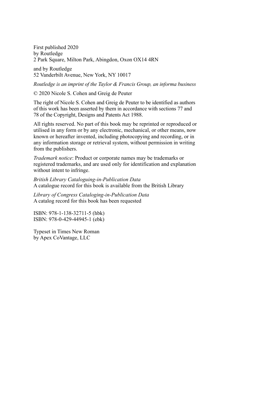First published 2020 by Routledge 2 Park Square, Milton Park, Abingdon, Oxon OX14 4RN

and by Routledge 52 Vanderbilt Avenue, New York, NY 10017

*Routledge is an imprint of the Taylor & Francis Group, an informa business* 

© 2020 Nicole S. Cohen and Greig de Peuter

The right of Nicole S. Cohen and Greig de Peuter to be identified as authors of this work has been asserted by them in accordance with sections 77 and 78 of the Copyright, Designs and Patents Act 1988.

All rights reserved. No part of this book may be reprinted or reproduced or utilised in any form or by any electronic, mechanical, or other means, now known or hereafter invented, including photocopying and recording, or in any information storage or retrieval system, without permission in writing from the publishers.

*Trademark notice*: Product or corporate names may be trademarks or registered trademarks, and are used only for identification and explanation without intent to infringe.

*British Library Cataloguing-in-Publication Data*  A catalogue record for this book is available from the British Library

*Library of Congress Cataloging-in-Publication Data*  A catalog record for this book has been requested

ISBN: 978-1-138-32711-5 (hbk) ISBN: 978-0-429-44945-1 (ebk)

Typeset in Times New Roman by Apex CoVantage, LLC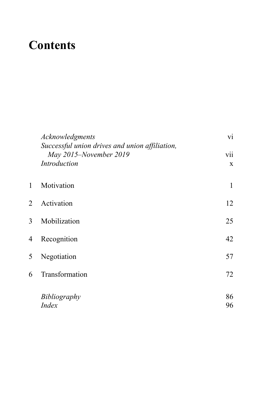## <span id="page-3-0"></span> **Contents**

|   | Acknowledgments<br>Successful union drives and union affiliation,<br>May 2015-November 2019<br>Introduction | vi                 |
|---|-------------------------------------------------------------------------------------------------------------|--------------------|
|   |                                                                                                             | vii<br>$\mathbf X$ |
| 1 | Motivation                                                                                                  | 1                  |
| 2 | Activation                                                                                                  | 12                 |
| 3 | Mobilization                                                                                                | 25                 |
| 4 | Recognition                                                                                                 | 42                 |
| 5 | Negotiation                                                                                                 | 57                 |
| 6 | Transformation                                                                                              | 72                 |
|   | Bibliography                                                                                                | 86                 |
|   | <b>Index</b>                                                                                                | 96                 |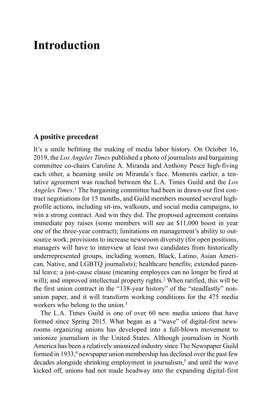### <span id="page-4-0"></span> **[Introduction](#page-3-0)**

#### **A positive precedent**

It's a smile befitting the making of media labor history. On October 16, 2019, the *Los Angeles Times* published a photo of journalists and bargaining committee co-chairs Caroline A. Miranda and Anthony Pesce high-fiving each other, a beaming smile on Miranda's face. Moments earlier, a tentative agreement was reached between the L.A. Times Guild and the *Los*  Angeles Times.<sup>[1](#page-10-0)</sup> The bargaining committee had been in drawn-out first contract negotiations for 15 months, and Guild members mounted several highprofile actions, including sit-ins, walkouts, and social media campaigns, to win a strong contract. And win they did. The proposed agreement contains immediate pay raises (some members will see an \$11,000 boost in year one of the three-year contract); limitations on management's ability to outsource work; provisions to increase newsroom diversity (for open positions, managers will have to interview at least two candidates from historically underrepresented groups, including women, Black, Latino, Asian American, Native, and LGBTQ journalists); healthcare benefits; extended parental leave; a just-cause clause (meaning employees can no longer be fired at will); and improved intellectual property rights.<sup>2</sup> When ratified, this will be the first union contract in the "138-year history" of the "steadfastly" nonunion paper, and it will transform working conditions for the 475 media workers who belong to the union.<sup>3</sup>

The L.A. Times Guild is one of over 60 new media unions that have formed since Spring 2015. What began as a "wave" of digital-first newsrooms organizing unions has developed into a full-blown movement to unionize journalism in the United States. Although journalism in North America has been a relatively unionized industry since The Newspaper Guild formed in 1933,<sup>[4](#page-10-0)</sup> newspaper union membership has declined over the past few decades alongside shrinking employment in journalism,<sup>[5](#page-10-0)</sup> and until the wave kicked off, unions had not made headway into the expanding digital-first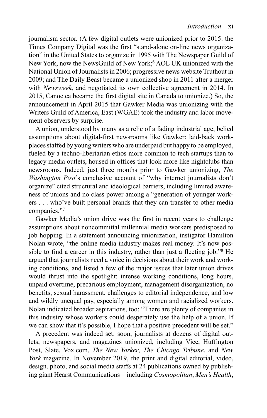<span id="page-5-0"></span>journalism sector. (A few digital outlets were unionized prior to 2015: the Times Company Digital was the first "stand-alone on-line news organization" in the United States to organize in 1995 with The Newspaper Guild of New York, now the NewsGuild of New York;<sup>6</sup> AOL UK unionized with the National Union of Journalists in 2006; progressive news website Truthout in 2009; and The Daily Beast became a unionized shop in 2011 after a merger with *Newsweek*, and negotiated its own collective agreement in 2014. In 2015, [Canoe.ca](https://Canoe.ca) became the first digital site in Canada to unionize.) So, the announcement in April 2015 that Gawker Media was unionizing with the Writers Guild of America, East (WGAE) took the industry and labor movement observers by surprise.

A union, understood by many as a relic of a fading industrial age, belied assumptions about digital-first newsrooms like Gawker: laid-back workplaces staffed by young writers who are underpaid but happy to be employed, fueled by a techno-libertarian ethos more common to tech startups than to legacy media outlets, housed in offices that look more like nightclubs than newsrooms. Indeed, just three months prior to Gawker unionizing, *The Washington Post's* conclusive account of "why internet journalists don't organize" cited structural and ideological barriers, including limited awareness of unions and no class power among a "generation of younger workers . . . who've built personal brands that they can transfer to other media companies."[7](#page-11-0)

Gawker Media's union drive was the first in recent years to challenge assumptions about noncommittal millennial media workers predisposed to job hopping. In a statement announcing unionization, instigator Hamilton Nolan wrote, "the online media industry makes real money. It's now possible to find a career in this industry, rather than just a fleeting job."<sup>8</sup> He argued that journalists need a voice in decisions about their work and working conditions, and listed a few of the major issues that later union drives would thrust into the spotlight: intense working conditions, long hours, unpaid overtime, precarious employment, management disorganization, no benefits, sexual harassment, challenges to editorial independence, and low and wildly unequal pay, especially among women and racialized workers. Nolan indicated broader aspirations, too: "There are plenty of companies in this industry whose workers could desperately use the help of a union. If we can show that it's possible, I hope that a positive precedent will be set."

A precedent was indeed set: soon, journalists at dozens of digital outlets, newspapers, and magazines unionized, including Vice, Huffington Post, Slate, [Vox.com](http://Vox.com), The New Yorker, The Chicago Tribune, and New *York* magazine. In November 2019, the print and digital editorial, video, design, photo, and social media staffs at 24 publications owned by publishing giant Hearst Communications—including *Cosmopolitan*, *Men's Health*,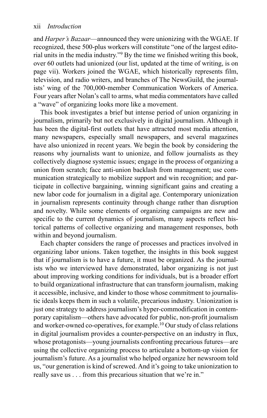<span id="page-6-0"></span>and *Harper's Bazaar*—announced they were unionizing with the WGAE. If recognized, these 500-plus workers will constitute "one of the largest editorial units in the media industry."<sup>9</sup> By the time we finished writing this book, over 60 outlets had unionized (our list, updated at the time of writing, is on page vii). Workers joined the WGAE, which historically represents film, television, and radio writers, and branches of The NewsGuild, the journalists' wing of the 700,000-member Communication Workers of America. Four years after Nolan's call to arms, what media commentators have called a "wave" of organizing looks more like a movement.

This book investigates a brief but intense period of union organizing in journalism, primarily but not exclusively in digital journalism. Although it has been the digital-first outlets that have attracted most media attention, many newspapers, especially small newspapers, and several magazines have also unionized in recent years. We begin the book by considering the reasons why journalists want to unionize, and follow journalists as they collectively diagnose systemic issues; engage in the process of organizing a union from scratch; face anti-union backlash from management; use communication strategically to mobilize support and win recognition; and participate in collective bargaining, winning significant gains and creating a new labor code for journalism in a digital age. Contemporary unionization in journalism represents continuity through change rather than disruption and novelty. While some elements of organizing campaigns are new and specific to the current dynamics of journalism, many aspects reflect historical patterns of collective organizing and management responses, both within and beyond journalism.

Each chapter considers the range of processes and practices involved in organizing labor unions. Taken together, the insights in this book suggest that if journalism is to have a future, it must be organized. As the journalists who we interviewed have demonstrated, labor organizing is not just about improving working conditions for individuals, but is a broader effort to build organizational infrastructure that can transform journalism, making it accessible, inclusive, and kinder to those whose commitment to journalistic ideals keeps them in such a volatile, precarious industry. Unionization is just one strategy to address journalism's hyper-commodification in contemporary capitalism—others have advocated for public, non-profit journalism and worker-owned co-operatives, for example.<sup>10</sup> Our study of class relations in digital journalism provides a counter-perspective on an industry in flux, whose protagonists—young journalists confronting precarious futures—are using the collective organizing process to articulate a bottom-up vision for journalism's future. As a journalist who helped organize her newsroom told us, "our generation is kind of screwed. And it's going to take unionization to really save us . . . from this precarious situation that we're in."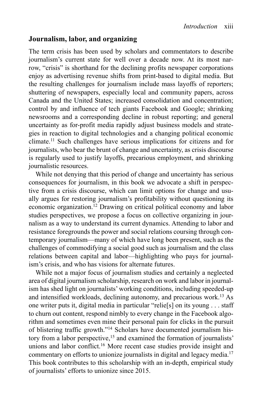#### <span id="page-7-0"></span>**Journalism, labor, and organizing**

The term crisis has been used by scholars and commentators to describe journalism's current state for well over a decade now. At its most narrow, "crisis" is shorthand for the declining profits newspaper corporations enjoy as advertising revenue shifts from print-based to digital media. But the resulting challenges for journalism include mass layoffs of reporters; shuttering of newspapers, especially local and community papers, across Canada and the United States; increased consolidation and concentration; control by and influence of tech giants Facebook and Google; shrinking newsrooms and a corresponding decline in robust reporting; and general uncertainty as for-profit media rapidly adjust business models and strategies in reaction to digital technologies and a changing political economic climate[.11](#page-11-0) Such challenges have serious implications for citizens and for journalists, who bear the brunt of change and uncertainty, as crisis discourse is regularly used to justify layoffs, precarious employment, and shrinking journalistic resources.

While not denying that this period of change and uncertainty has serious consequences for journalism, in this book we advocate a shift in perspective from a crisis discourse, which can limit options for change and usually argues for restoring journalism's profitability without questioning its economic organization[. 12](#page-11-0) Drawing on critical political economy and labor studies perspectives, we propose a focus on collective organizing in journalism as a way to understand its current dynamics. Attending to labor and resistance foregrounds the power and social relations coursing through contemporary journalism—many of which have long been present, such as the challenges of commodifying a social good such as journalism and the class relations between capital and labor—highlighting who pays for journalism's crisis, and who has visions for alternate futures.

While not a major focus of journalism studies and certainly a neglected area of digital journalism scholarship, research on work and labor in journalism has shed light on journalists' working conditions, including speeded-up and intensified workloads, declining autonomy, and precarious work[. 13](#page-11-0) As one writer puts it, digital media in particular "relie[s] on its young . . . staff to churn out content, respond nimbly to every change in the Facebook algorithm and sometimes even mine their personal pain for clicks in the pursuit of blistering traffic growth."<sup>14</sup> Scholars have documented journalism his-tory from a labor perspective,<sup>[15](#page-12-0)</sup> and examined the formation of journalists' unions and labor conflict.<sup>16</sup> More recent case studies provide insight and commentary on efforts to unionize journalists in digital and legacy media. [17](#page-12-0) This book contributes to this scholarship with an in-depth, empirical study of journalists' efforts to unionize since 2015.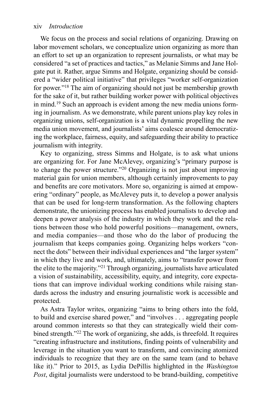#### <span id="page-8-0"></span>xiv *Introduction*

We focus on the process and social relations of organizing. Drawing on labor movement scholars, we conceptualize union organizing as more than an effort to set up an organization to represent journalists, or what may be considered "a set of practices and tactics," as Melanie Simms and Jane Holgate put it. Rather, argue Simms and Holgate, organizing should be considered a "wider political initiative" that privileges "worker self-organization" for power."<sup>18</sup> The aim of organizing should not just be membership growth for the sake of it, but rather building worker power with political objectives in mind[.19](#page-12-0) Such an approach is evident among the new media unions forming in journalism. As we demonstrate, while parent unions play key roles in organizing unions, self-organization is a vital dynamic propelling the new media union movement, and journalists' aims coalesce around democratizing the workplace, fairness, equity, and safeguarding their ability to practice journalism with integrity.

Key to organizing, stress Simms and Holgate, is to ask what unions are organizing for. For Jane McAlevey, organizing's "primary purpose is to change the power structure."[20](#page-12-0) Organizing is not just about improving material gain for union members, although certainly improvements to pay and benefits are core motivators. More so, organizing is aimed at empowering "ordinary" people, as McAlevey puts it, to develop a power analysis that can be used for long-term transformation. As the following chapters demonstrate, the unionizing process has enabled journalists to develop and deepen a power analysis of the industry in which they work and the relations between those who hold powerful positions—management, owners, and media companies—and those who do the labor of producing the journalism that keeps companies going. Organizing helps workers "connect the dots" between their individual experiences and "the larger system" in which they live and work, and, ultimately, aims to "transfer power from the elite to the majority."<sup>21</sup> Through organizing, journalists have articulated a vision of sustainability, accessibility, equity, and integrity, core expectations that can improve individual working conditions while raising standards across the industry and ensuring journalistic work is accessible and protected.

As Astra Taylor writes, organizing "aims to bring others into the fold, to build and exercise shared power," and "involves . . . aggregating people around common interests so that they can strategically wield their com-bined strength."<sup>[22](#page-12-0)</sup> The work of organizing, she adds, is threefold. It requires "creating infrastructure and institutions, finding points of vulnerability and leverage in the situation you want to transform, and convincing atomized individuals to recognize that they are on the same team (and to behave like it)." Prior to 2015, as Lydia DePillis highlighted in the *Washington*  Post, digital journalists were understood to be brand-building, competitive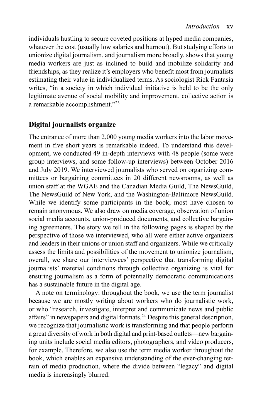<span id="page-9-0"></span>individuals hustling to secure coveted positions at hyped media companies, whatever the cost (usually low salaries and burnout). But studying efforts to unionize digital journalism, and journalism more broadly, shows that young media workers are just as inclined to build and mobilize solidarity and friendships, as they realize it's employers who benefit most from journalists estimating their value in individualized terms. As sociologist Rick Fantasia writes, "in a society in which individual initiative is held to be the only legitimate avenue of social mobility and improvement, collective action is a remarkable accomplishment."[23](#page-12-0)

#### **Digital journalists organize**

The entrance of more than 2,000 young media workers into the labor movement in five short years is remarkable indeed. To understand this development, we conducted 49 in-depth interviews with 48 people (some were group interviews, and some follow-up interviews) between October 2016 and July 2019. We interviewed journalists who served on organizing committees or bargaining committees in 20 different newsrooms, as well as union staff at the WGAE and the Canadian Media Guild, The NewsGuild, The NewsGuild of New York, and the Washington-Baltimore NewsGuild. While we identify some participants in the book, most have chosen to remain anonymous. We also draw on media coverage, observation of union social media accounts, union-produced documents, and collective bargaining agreements. The story we tell in the following pages is shaped by the perspective of those we interviewed, who all were either active organizers and leaders in their unions or union staff and organizers. While we critically assess the limits and possibilities of the movement to unionize journalism, overall, we share our interviewees' perspective that transforming digital journalists' material conditions through collective organizing is vital for ensuring journalism as a form of potentially democratic communications has a sustainable future in the digital age.

A note on terminology: throughout the book, we use the term journalist because we are mostly writing about workers who do journalistic work, or who "research, investigate, interpret and communicate news and public affairs" in newspapers and digital formats. [24](#page-12-0) Despite this general description, we recognize that journalistic work is transforming and that people perform a great diversity of work in both digital and print-based outlets—new bargaining units include social media editors, photographers, and video producers, for example. Therefore, we also use the term media worker throughout the book, which enables an expansive understanding of the ever-changing terrain of media production, where the divide between "legacy" and digital media is increasingly blurred.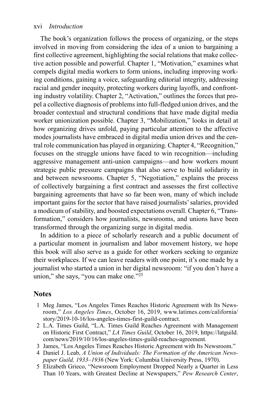#### <span id="page-10-0"></span>xvi *Introduction*

The book's organization follows the process of organizing, or the steps involved in moving from considering the idea of a union to bargaining a first collective agreement, highlighting the social relations that make collec-tive action possible and powerful. [Chapter 1](#page--1-0), "Motivation," examines what compels digital media workers to form unions, including improving working conditions, gaining a voice, safeguarding editorial integrity, addressing racial and gender inequity, protecting workers during layoffs, and confronting industry volatility. Chapter 2, "Activation," outlines the forces that propel a collective diagnosis of problems into full-fledged union drives, and the broader contextual and structural conditions that have made digital media worker unionization possible. Chapter 3, "Mobilization," looks in detail at how organizing drives unfold, paying particular attention to the affective modes journalists have embraced in digital media union drives and the central role communication has played in organizing. [Chapter 4](#page--1-0) , "Recognition," focuses on the struggle unions have faced to win recognition—including aggressive management anti-union campaigns—and how workers mount strategic public pressure campaigns that also serve to build solidarity in and between newsrooms. Chapter 5, "Negotiation," explains the process of collectively bargaining a first contract and assesses the first collective bargaining agreements that have so far been won, many of which include important gains for the sector that have raised journalists' salaries, provided a modicum of stability, and boosted expectations overall. Chapter 6, "Transformation," considers how journalists, newsrooms, and unions have been transformed through the organizing surge in digital media.

In addition to a piece of scholarly research and a public document of a particular moment in journalism and labor movement history, we hope this book will also serve as a guide for other workers seeking to organize their workplaces. If we can leave readers with one point, it's one made by a journalist who started a union in her digital newsroom: "if you don't have a union," she says, "you can make one.["25](#page-12-0)

#### **Notes**

- 1 Meg James, "Los Angeles Times Reaches Historic Agreement with Its Newsroom," *Los Angeles Times*, October 16, 2019, [www.latimes.com/california/](http://www.latimes.com) story/2019-10-16/los-angeles-times-first-guild-contract.
- 2 L.A. Times Guild, "L.A. Times Guild Reaches Agreement with Management on Historic First Contract," *LA Times Guild*, October 16, 2019, [https://latguild.](https://latguild.com) com/news/2019/10/16/los-angeles-times-guild-reaches-agreement.
- 3 James, "Los Angeles Times Reaches Historic Agreement with Its Newsroom."
- [4](#page-4-0) Daniel J. Leab, *A Union of Individuals: The Formation of the American Newspaper Guild, 1933–1936* (New York: Columbia University Press, 1970).
- 5 Elizabeth Grieco, "Newsroom Employment Dropped Nearly a Quarter in Less Than 10 Years, with Greatest Decline at Newspapers," *Pew Research Center*,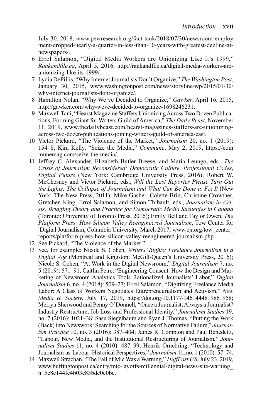<span id="page-11-0"></span>July 30, 2018, www.pewresearch.org/fact-tank/2018/07/30/newsroom-employ ment-dropped-nearly-a-quarter-in-less-than-10-years-with-greatest-decline-at[newspapers/.](http://www.pewresearch.org)

- 6 Errol Salamon, "Digital Media Workers are Unionizing Like It's 1999," *[Rankandfile.ca](https://Rankandfile.ca)*, April 5, 2016, http://rankandfile.ca/digital-media-workers-areunionizing-like-its-1999/.
- 7 Lydia DePillis, "Why Internet Journalists Don't Organize," *The Washington Post*, January 30, 2015, [www.washingtonpost.com/news/storyline/wp/2015/01/30/](http://www.washingtonpost.com) why-internet-journalists-dont-organize/.
- 8 Hamilton Nolan, "Why We've Decided to Organize," *Gawker*, April 16, 2015, http://gawker.com/why-weve-decided-to-organize-1698246231.
- 9 Maxwell Tani, "Hearst Magazine Staffers Unionizing Across Two Dozen Publications, Forming Giant for Writers Guild of America," The Daily Beast, November 11, 2019, www.thedailybeast.com/hearst-magazines-staffers-are-unionizingacross-two-dozen-publications-joining-writers-guild-of-america-east.
- [10](#page-6-0) Victor Pickard, "The Violence of the Market," *Journalism* 20, no. 1 (2019): 154–8; Kim Kelly, "Seize the Media," *Commune*, May 2, 2019, [https://com](https://communemag.com) munemag.com/seize-the-media/.
- 11 Jeffrey C. Alexander, Elizabeth Butler Breese, and María Leungo, eds., *The Crisis of Journalism Reconsidered: Democratic Culture, Professional Codes*, *Digital Future* (New York: Cambridge University Press, 2016); Robert W. McChesney and Victor Pickard, eds., *Will the Last Reporter Please Turn Out the Lights: The Collapse of Journalism and What Can Be Done to Fix It (New* York: The New Press, 2011); Mike Gasher, Colette Brin, Christine Crowther, Gretchen King, Errol Salamon, and Simon Thibault, eds., *Journalism in Crisis: Bridging Theory and Practice for Democratic Media Strategies in Canada*  (Toronto: University of Toronto Press, 2016); Emily Bell and Taylor Owen, *The Platform Press: How Silicon Valley Reengineered Journalism*, Tow Center for Digital Journalism, Columbia University, March 2017,  [www.cjr.org/tow\\_center\\_](http://www.cjr.org)  reports/platform-press-how-silicon-valley-reengineered-journalism.php.
- [12](#page-7-0) See Pickard, "The Violence of the Market."
- [13](#page-7-0)  See, for example: Nicole S. Cohen, *Writers' Rights: Freelance Journalism in a*  Nicole S. Cohen, "At Work in the Digital Newsroom," Digital Journalism 7, no. Industry Restructure, Job Loss and Professional Identity," Journalism Studies 19, *Digital Age* (Montreal and Kingston: McGill-Queen's University Press, 2016); 5 (2019): 571–91; Caitlin Petre, "Engineering Consent: How the Design and Marketing of Newsroom Analytics Tools Rationalized Journalists' Labor," *Digital Journalism* 6, no. 4 (2018): 509–27; Errol Salamon, "Digitizing Freelance Media Labor: A Class of Workers Negotiates Entrepreneurialism and Activism," *New Media & Society*, July 17, 2019, [https://doi.org/10.1177/1461444819861958;](https://doi.org)  Merryn Sherwood and Penny O'Donnell, "Once a Journalist, Always a Journalist? no. 7 (2016): 1021–38; Sasu Siegelbaum and Ryan J. Thomas, "Putting the Work (Back) into Newswork: Searching for the Sources of Normative Failure," *Journalism Practice* 10, no. 3 (2016): 387–404; James R. Compton and Paul Benedetti, "Labour, New Media, and the Institutional Restructuring of Journalism," *Journalism Studies* 11, no. 4 (2010): 487–99; Henrik Örnebring, "Technology and JournalismasLabour: Historical Perspectives," *Journalism* 11, no. 1 (2010): 57–74.
- [14](#page-7-0)  Maxwell Strachan, "The Fall of Mic Was a Warning," *HuffPost US*, July 23, 2019, www.huffingtonpost.ca/entry/mic-layoffs-millennial-digital-news-site-warning [n\\_5c8c144fe4b03e83bdc0e0bc](http://www.huffingtonpost.ca).